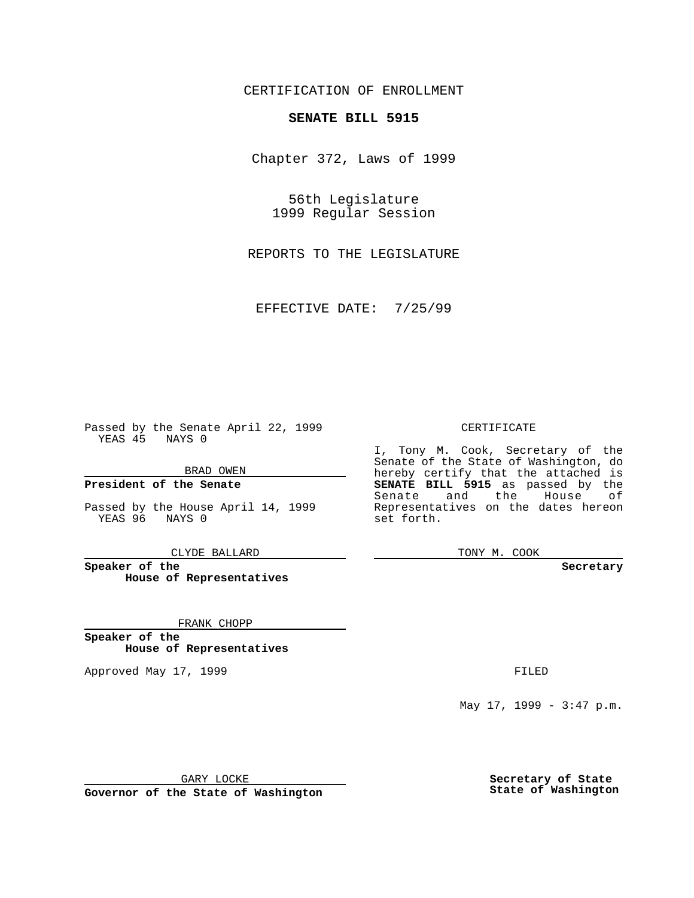CERTIFICATION OF ENROLLMENT

# **SENATE BILL 5915**

Chapter 372, Laws of 1999

56th Legislature 1999 Regular Session

REPORTS TO THE LEGISLATURE

EFFECTIVE DATE: 7/25/99

Passed by the Senate April 22, 1999 YEAS 45 NAYS 0

BRAD OWEN

**President of the Senate**

Passed by the House April 14, 1999 YEAS 96 NAYS 0

CLYDE BALLARD

**Speaker of the House of Representatives**

FRANK CHOPP

**Speaker of the House of Representatives**

Approved May 17, 1999 **FILED** 

#### CERTIFICATE

I, Tony M. Cook, Secretary of the Senate of the State of Washington, do hereby certify that the attached is **SENATE BILL 5915** as passed by the Senate and the House of Representatives on the dates hereon set forth.

TONY M. COOK

#### **Secretary**

May 17, 1999 - 3:47 p.m.

GARY LOCKE

**Governor of the State of Washington**

**Secretary of State State of Washington**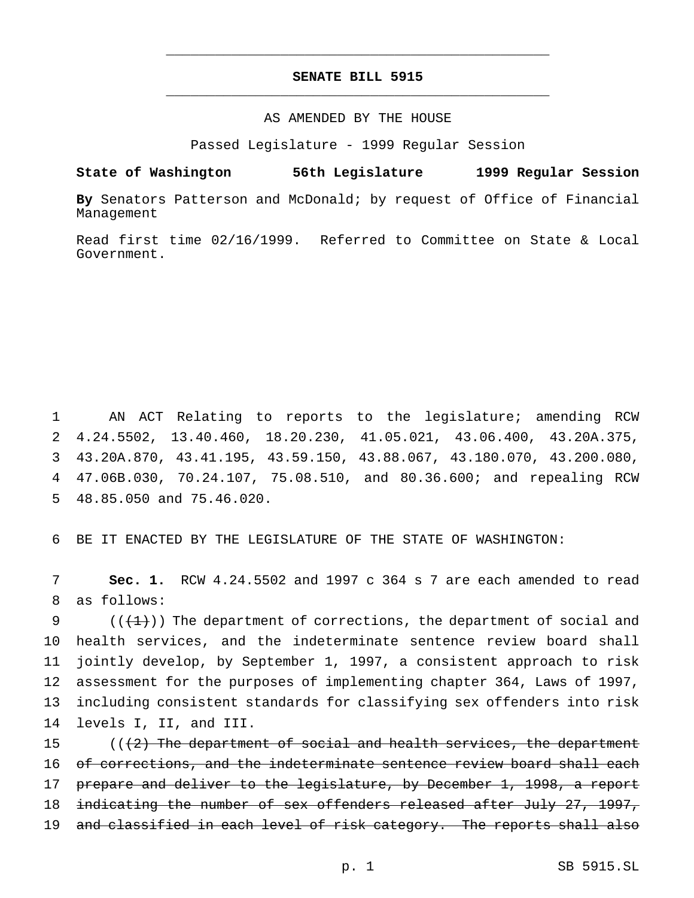## **SENATE BILL 5915** \_\_\_\_\_\_\_\_\_\_\_\_\_\_\_\_\_\_\_\_\_\_\_\_\_\_\_\_\_\_\_\_\_\_\_\_\_\_\_\_\_\_\_\_\_\_\_

\_\_\_\_\_\_\_\_\_\_\_\_\_\_\_\_\_\_\_\_\_\_\_\_\_\_\_\_\_\_\_\_\_\_\_\_\_\_\_\_\_\_\_\_\_\_\_

### AS AMENDED BY THE HOUSE

Passed Legislature - 1999 Regular Session

**State of Washington 56th Legislature 1999 Regular Session**

**By** Senators Patterson and McDonald; by request of Office of Financial Management

Read first time 02/16/1999. Referred to Committee on State & Local Government.

 AN ACT Relating to reports to the legislature; amending RCW 4.24.5502, 13.40.460, 18.20.230, 41.05.021, 43.06.400, 43.20A.375, 43.20A.870, 43.41.195, 43.59.150, 43.88.067, 43.180.070, 43.200.080, 47.06B.030, 70.24.107, 75.08.510, and 80.36.600; and repealing RCW 48.85.050 and 75.46.020.

6 BE IT ENACTED BY THE LEGISLATURE OF THE STATE OF WASHINGTON:

7 **Sec. 1.** RCW 4.24.5502 and 1997 c 364 s 7 are each amended to read 8 as follows:

 $((+1))$  The department of corrections, the department of social and health services, and the indeterminate sentence review board shall jointly develop, by September 1, 1997, a consistent approach to risk assessment for the purposes of implementing chapter 364, Laws of 1997, including consistent standards for classifying sex offenders into risk levels I, II, and III.

15  $((2)$  The department of social and health services, the department 16 of corrections, and the indeterminate sentence review board shall each 17 prepare and deliver to the legislature, by December 1, 1998, a report 18 indicating the number of sex offenders released after July 27, 1997, 19 and classified in each level of risk category. The reports shall also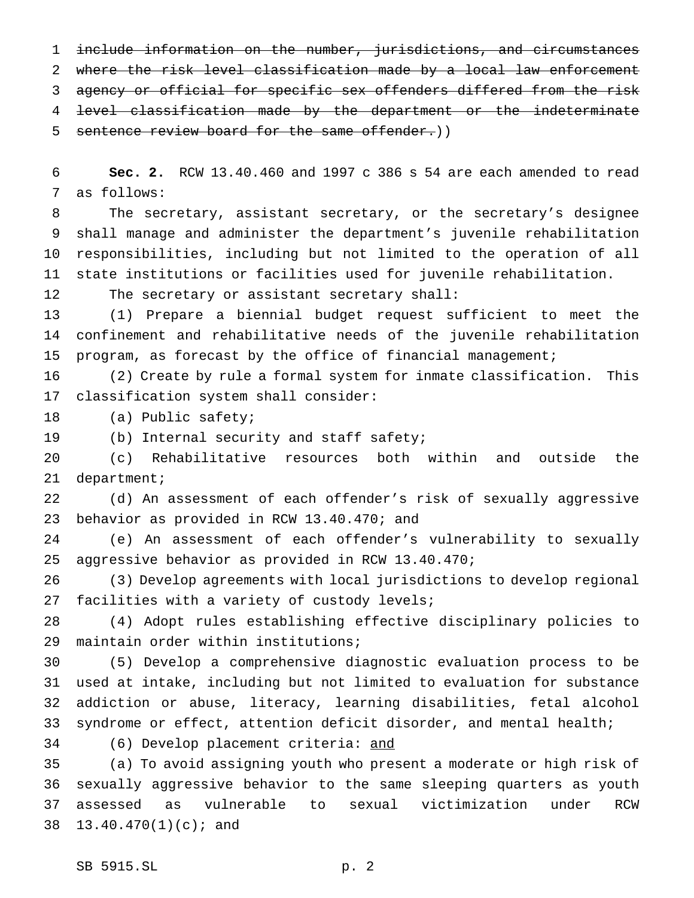include information on the number, jurisdictions, and circumstances 2 where the risk level classification made by a local law enforcement agency or official for specific sex offenders differed from the risk level classification made by the department or the indeterminate 5 sentence review board for the same offender.))

 **Sec. 2.** RCW 13.40.460 and 1997 c 386 s 54 are each amended to read as follows:

 The secretary, assistant secretary, or the secretary's designee shall manage and administer the department's juvenile rehabilitation responsibilities, including but not limited to the operation of all state institutions or facilities used for juvenile rehabilitation.

The secretary or assistant secretary shall:

 (1) Prepare a biennial budget request sufficient to meet the confinement and rehabilitative needs of the juvenile rehabilitation program, as forecast by the office of financial management;

 (2) Create by rule a formal system for inmate classification. This classification system shall consider:

(a) Public safety;

(b) Internal security and staff safety;

 (c) Rehabilitative resources both within and outside the department;

 (d) An assessment of each offender's risk of sexually aggressive behavior as provided in RCW 13.40.470; and

 (e) An assessment of each offender's vulnerability to sexually aggressive behavior as provided in RCW 13.40.470;

 (3) Develop agreements with local jurisdictions to develop regional facilities with a variety of custody levels;

 (4) Adopt rules establishing effective disciplinary policies to maintain order within institutions;

 (5) Develop a comprehensive diagnostic evaluation process to be used at intake, including but not limited to evaluation for substance addiction or abuse, literacy, learning disabilities, fetal alcohol syndrome or effect, attention deficit disorder, and mental health;

(6) Develop placement criteria: and

 (a) To avoid assigning youth who present a moderate or high risk of sexually aggressive behavior to the same sleeping quarters as youth assessed as vulnerable to sexual victimization under RCW 13.40.470(1)(c); and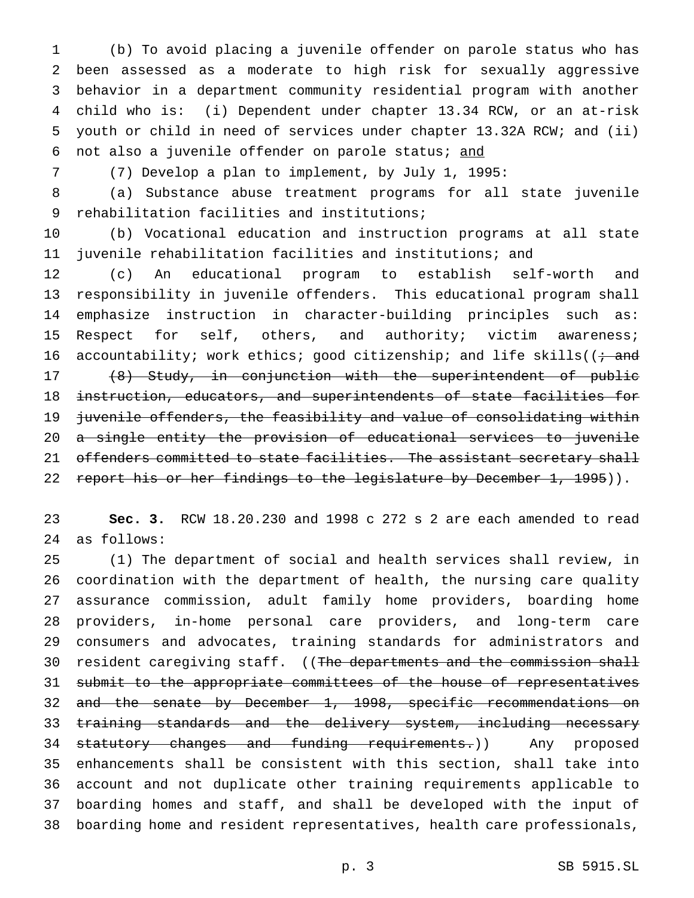(b) To avoid placing a juvenile offender on parole status who has been assessed as a moderate to high risk for sexually aggressive behavior in a department community residential program with another child who is: (i) Dependent under chapter 13.34 RCW, or an at-risk youth or child in need of services under chapter 13.32A RCW; and (ii) 6 not also a juvenile offender on parole status; and

(7) Develop a plan to implement, by July 1, 1995:

 (a) Substance abuse treatment programs for all state juvenile rehabilitation facilities and institutions;

 (b) Vocational education and instruction programs at all state juvenile rehabilitation facilities and institutions; and

 (c) An educational program to establish self-worth and responsibility in juvenile offenders. This educational program shall emphasize instruction in character-building principles such as: 15 Respect for self, others, and authority; victim awareness; 16 accountability; work ethics; good citizenship; and life skills( $\left($  + and (8) Study, in conjunction with the superintendent of public instruction, educators, and superintendents of state facilities for juvenile offenders, the feasibility and value of consolidating within 20 a single entity the provision of educational services to juvenile 21 offenders committed to state facilities. The assistant secretary shall 22 report his or her findings to the legislature by December 1, 1995)).

 **Sec. 3.** RCW 18.20.230 and 1998 c 272 s 2 are each amended to read as follows:

 (1) The department of social and health services shall review, in coordination with the department of health, the nursing care quality assurance commission, adult family home providers, boarding home providers, in-home personal care providers, and long-term care consumers and advocates, training standards for administrators and 30 resident caregiving staff. ((The departments and the commission shall 31 submit to the appropriate committees of the house of representatives and the senate by December 1, 1998, specific recommendations on 33 training standards and the delivery system, including necessary 34 statutory changes and funding requirements.)) Any proposed enhancements shall be consistent with this section, shall take into account and not duplicate other training requirements applicable to boarding homes and staff, and shall be developed with the input of boarding home and resident representatives, health care professionals,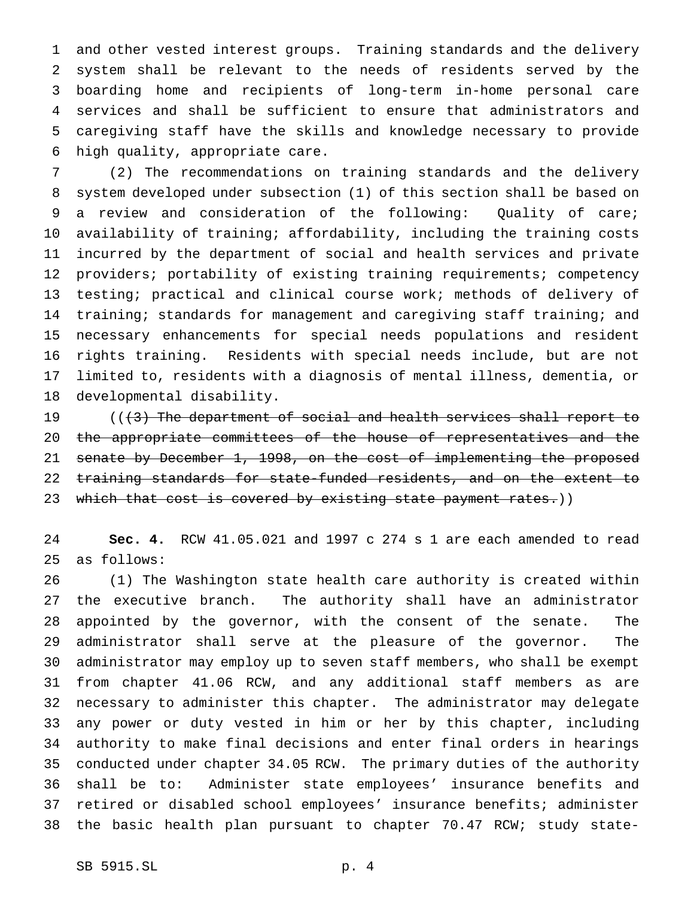and other vested interest groups. Training standards and the delivery system shall be relevant to the needs of residents served by the boarding home and recipients of long-term in-home personal care services and shall be sufficient to ensure that administrators and caregiving staff have the skills and knowledge necessary to provide high quality, appropriate care.

 (2) The recommendations on training standards and the delivery system developed under subsection (1) of this section shall be based on a review and consideration of the following: Quality of care; availability of training; affordability, including the training costs incurred by the department of social and health services and private 12 providers; portability of existing training requirements; competency testing; practical and clinical course work; methods of delivery of training; standards for management and caregiving staff training; and necessary enhancements for special needs populations and resident rights training. Residents with special needs include, but are not limited to, residents with a diagnosis of mental illness, dementia, or developmental disability.

19 (((3) The department of social and health services shall report to 20 the appropriate committees of the house of representatives and the senate by December 1, 1998, on the cost of implementing the proposed training standards for state-funded residents, and on the extent to 23 which that cost is covered by existing state payment rates.))

 **Sec. 4.** RCW 41.05.021 and 1997 c 274 s 1 are each amended to read as follows:

 (1) The Washington state health care authority is created within the executive branch. The authority shall have an administrator appointed by the governor, with the consent of the senate. The administrator shall serve at the pleasure of the governor. The administrator may employ up to seven staff members, who shall be exempt from chapter 41.06 RCW, and any additional staff members as are necessary to administer this chapter. The administrator may delegate any power or duty vested in him or her by this chapter, including authority to make final decisions and enter final orders in hearings conducted under chapter 34.05 RCW. The primary duties of the authority shall be to: Administer state employees' insurance benefits and retired or disabled school employees' insurance benefits; administer the basic health plan pursuant to chapter 70.47 RCW; study state-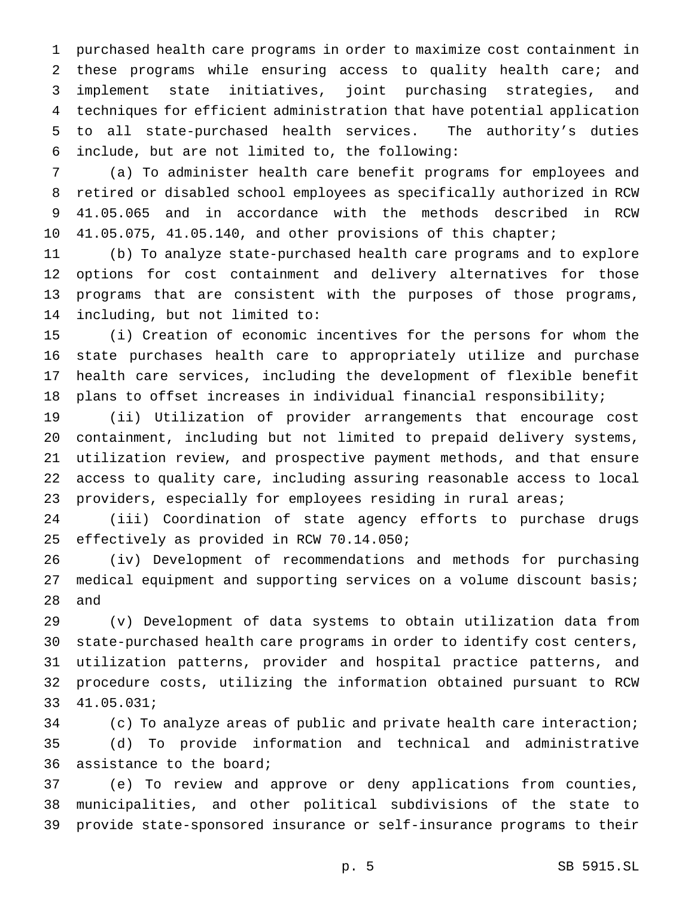purchased health care programs in order to maximize cost containment in these programs while ensuring access to quality health care; and implement state initiatives, joint purchasing strategies, and techniques for efficient administration that have potential application to all state-purchased health services. The authority's duties include, but are not limited to, the following:

 (a) To administer health care benefit programs for employees and retired or disabled school employees as specifically authorized in RCW 41.05.065 and in accordance with the methods described in RCW 10 41.05.075, 41.05.140, and other provisions of this chapter;

 (b) To analyze state-purchased health care programs and to explore options for cost containment and delivery alternatives for those programs that are consistent with the purposes of those programs, including, but not limited to:

 (i) Creation of economic incentives for the persons for whom the state purchases health care to appropriately utilize and purchase health care services, including the development of flexible benefit plans to offset increases in individual financial responsibility;

 (ii) Utilization of provider arrangements that encourage cost containment, including but not limited to prepaid delivery systems, utilization review, and prospective payment methods, and that ensure access to quality care, including assuring reasonable access to local 23 providers, especially for employees residing in rural areas;

 (iii) Coordination of state agency efforts to purchase drugs effectively as provided in RCW 70.14.050;

 (iv) Development of recommendations and methods for purchasing medical equipment and supporting services on a volume discount basis; and

 (v) Development of data systems to obtain utilization data from state-purchased health care programs in order to identify cost centers, utilization patterns, provider and hospital practice patterns, and procedure costs, utilizing the information obtained pursuant to RCW 41.05.031;

 (c) To analyze areas of public and private health care interaction; (d) To provide information and technical and administrative assistance to the board;

 (e) To review and approve or deny applications from counties, municipalities, and other political subdivisions of the state to provide state-sponsored insurance or self-insurance programs to their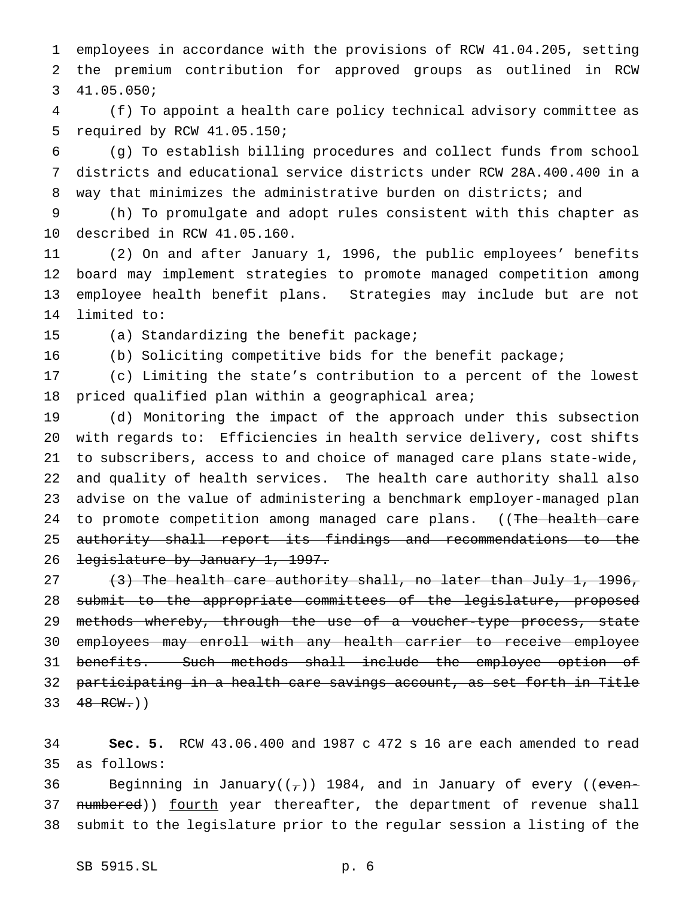employees in accordance with the provisions of RCW 41.04.205, setting the premium contribution for approved groups as outlined in RCW 41.05.050;

 (f) To appoint a health care policy technical advisory committee as required by RCW 41.05.150;

 (g) To establish billing procedures and collect funds from school districts and educational service districts under RCW 28A.400.400 in a way that minimizes the administrative burden on districts; and

 (h) To promulgate and adopt rules consistent with this chapter as described in RCW 41.05.160.

 (2) On and after January 1, 1996, the public employees' benefits board may implement strategies to promote managed competition among employee health benefit plans. Strategies may include but are not limited to:

(a) Standardizing the benefit package;

(b) Soliciting competitive bids for the benefit package;

 (c) Limiting the state's contribution to a percent of the lowest priced qualified plan within a geographical area;

 (d) Monitoring the impact of the approach under this subsection with regards to: Efficiencies in health service delivery, cost shifts to subscribers, access to and choice of managed care plans state-wide, and quality of health services. The health care authority shall also advise on the value of administering a benchmark employer-managed plan 24 to promote competition among managed care plans. ((The health care authority shall report its findings and recommendations to the 26 <del>legislature by January 1, 1997.</del>

 $(3)$  The health care authority shall, no later than July 1, 1996, 28 submit to the appropriate committees of the legislature, proposed 29 methods whereby, through the use of a voucher-type process, state employees may enroll with any health carrier to receive employee benefits. Such methods shall include the employee option of participating in a health care savings account, as set forth in Title  $48$  RCW.)

 **Sec. 5.** RCW 43.06.400 and 1987 c 472 s 16 are each amended to read as follows:

36 Beginning in January( $(\tau)$ ) 1984, and in January of every ((even-37 numbered)) fourth year thereafter, the department of revenue shall submit to the legislature prior to the regular session a listing of the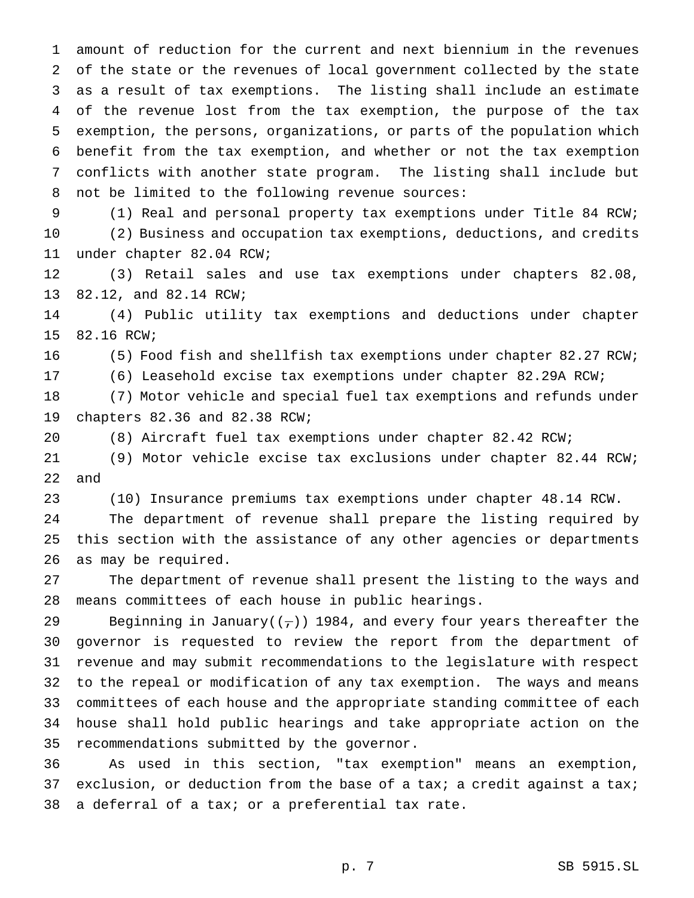amount of reduction for the current and next biennium in the revenues of the state or the revenues of local government collected by the state as a result of tax exemptions. The listing shall include an estimate of the revenue lost from the tax exemption, the purpose of the tax exemption, the persons, organizations, or parts of the population which benefit from the tax exemption, and whether or not the tax exemption conflicts with another state program. The listing shall include but not be limited to the following revenue sources:

 (1) Real and personal property tax exemptions under Title 84 RCW; (2) Business and occupation tax exemptions, deductions, and credits under chapter 82.04 RCW;

 (3) Retail sales and use tax exemptions under chapters 82.08, 82.12, and 82.14 RCW;

 (4) Public utility tax exemptions and deductions under chapter 82.16 RCW;

(5) Food fish and shellfish tax exemptions under chapter 82.27 RCW;

(6) Leasehold excise tax exemptions under chapter 82.29A RCW;

 (7) Motor vehicle and special fuel tax exemptions and refunds under chapters 82.36 and 82.38 RCW;

(8) Aircraft fuel tax exemptions under chapter 82.42 RCW;

 (9) Motor vehicle excise tax exclusions under chapter 82.44 RCW; and

(10) Insurance premiums tax exemptions under chapter 48.14 RCW.

 The department of revenue shall prepare the listing required by this section with the assistance of any other agencies or departments as may be required.

 The department of revenue shall present the listing to the ways and means committees of each house in public hearings.

29 Beginning in January( $(\tau)$ ) 1984, and every four years thereafter the governor is requested to review the report from the department of revenue and may submit recommendations to the legislature with respect to the repeal or modification of any tax exemption. The ways and means committees of each house and the appropriate standing committee of each house shall hold public hearings and take appropriate action on the recommendations submitted by the governor.

 As used in this section, "tax exemption" means an exemption, 37 exclusion, or deduction from the base of a tax; a credit against a tax; a deferral of a tax; or a preferential tax rate.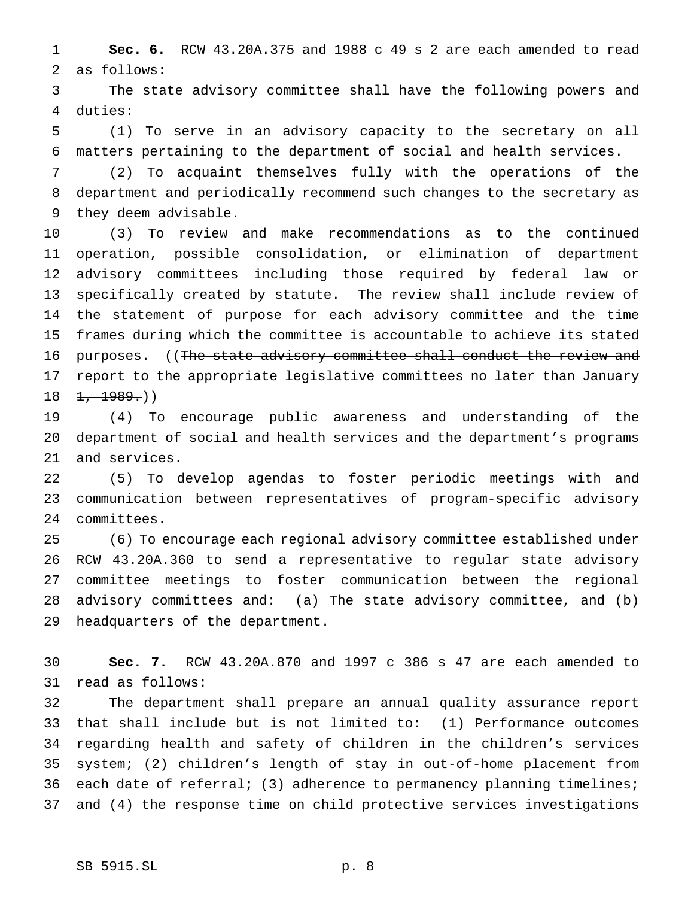**Sec. 6.** RCW 43.20A.375 and 1988 c 49 s 2 are each amended to read as follows:

 The state advisory committee shall have the following powers and duties:

 (1) To serve in an advisory capacity to the secretary on all matters pertaining to the department of social and health services.

 (2) To acquaint themselves fully with the operations of the department and periodically recommend such changes to the secretary as they deem advisable.

 (3) To review and make recommendations as to the continued operation, possible consolidation, or elimination of department advisory committees including those required by federal law or specifically created by statute. The review shall include review of the statement of purpose for each advisory committee and the time frames during which the committee is accountable to achieve its stated purposes. ((The state advisory committee shall conduct the review and 17 report to the appropriate legislative committees no later than January  $18 \quad 1, \quad 1989.$ )

 (4) To encourage public awareness and understanding of the department of social and health services and the department's programs and services.

 (5) To develop agendas to foster periodic meetings with and communication between representatives of program-specific advisory committees.

 (6) To encourage each regional advisory committee established under RCW 43.20A.360 to send a representative to regular state advisory committee meetings to foster communication between the regional advisory committees and: (a) The state advisory committee, and (b) headquarters of the department.

 **Sec. 7.** RCW 43.20A.870 and 1997 c 386 s 47 are each amended to read as follows:

 The department shall prepare an annual quality assurance report that shall include but is not limited to: (1) Performance outcomes regarding health and safety of children in the children's services system; (2) children's length of stay in out-of-home placement from 36 each date of referral; (3) adherence to permanency planning timelines; and (4) the response time on child protective services investigations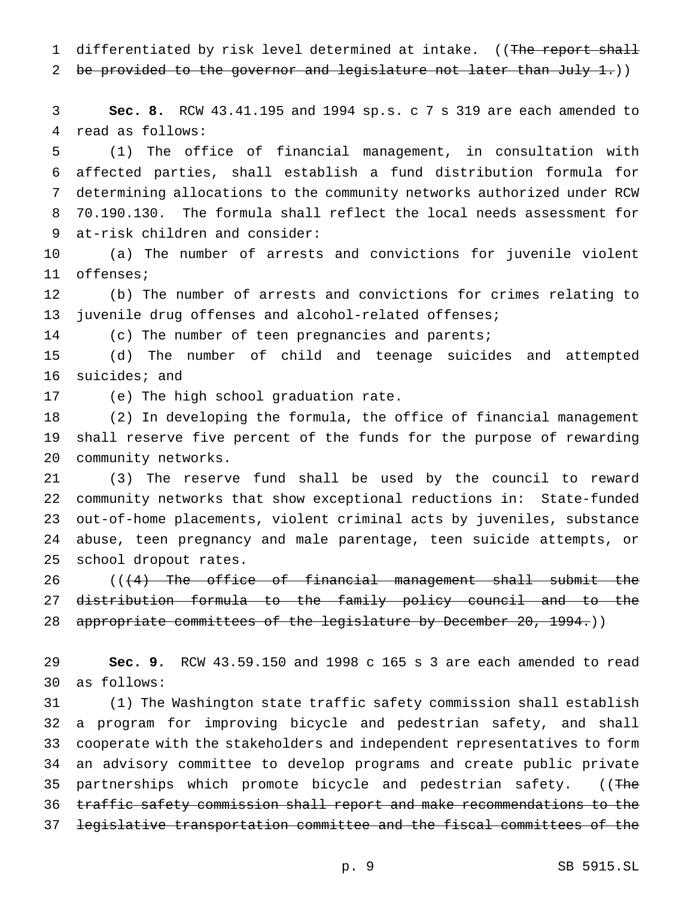1 differentiated by risk level determined at intake. ((The report shall

2 be provided to the governor and legislature not later than July 1.)

 **Sec. 8.** RCW 43.41.195 and 1994 sp.s. c 7 s 319 are each amended to read as follows:

 (1) The office of financial management, in consultation with affected parties, shall establish a fund distribution formula for determining allocations to the community networks authorized under RCW 70.190.130. The formula shall reflect the local needs assessment for at-risk children and consider:

 (a) The number of arrests and convictions for juvenile violent offenses;

 (b) The number of arrests and convictions for crimes relating to juvenile drug offenses and alcohol-related offenses;

(c) The number of teen pregnancies and parents;

 (d) The number of child and teenage suicides and attempted suicides; and

(e) The high school graduation rate.

 (2) In developing the formula, the office of financial management shall reserve five percent of the funds for the purpose of rewarding community networks.

 (3) The reserve fund shall be used by the council to reward community networks that show exceptional reductions in: State-funded out-of-home placements, violent criminal acts by juveniles, substance abuse, teen pregnancy and male parentage, teen suicide attempts, or school dropout rates.

 $((+4)$  The office of financial management shall submit the distribution formula to the family policy council and to the 28 appropriate committees of the legislature by December 20, 1994.))

 **Sec. 9.** RCW 43.59.150 and 1998 c 165 s 3 are each amended to read as follows:

 (1) The Washington state traffic safety commission shall establish a program for improving bicycle and pedestrian safety, and shall cooperate with the stakeholders and independent representatives to form an advisory committee to develop programs and create public private 35 partnerships which promote bicycle and pedestrian safety. ((The traffic safety commission shall report and make recommendations to the legislative transportation committee and the fiscal committees of the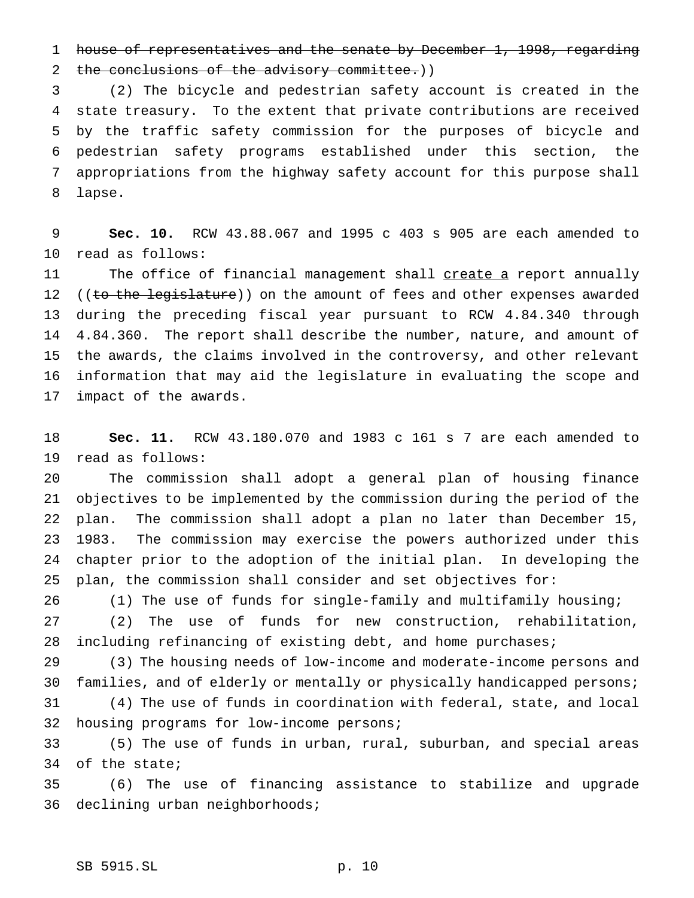house of representatives and the senate by December 1, 1998, regarding

2 the conclusions of the advisory committee.))

 (2) The bicycle and pedestrian safety account is created in the state treasury. To the extent that private contributions are received by the traffic safety commission for the purposes of bicycle and pedestrian safety programs established under this section, the appropriations from the highway safety account for this purpose shall lapse.

 **Sec. 10.** RCW 43.88.067 and 1995 c 403 s 905 are each amended to read as follows:

11 The office of financial management shall create a report annually 12 ((to the legislature)) on the amount of fees and other expenses awarded during the preceding fiscal year pursuant to RCW 4.84.340 through 4.84.360. The report shall describe the number, nature, and amount of the awards, the claims involved in the controversy, and other relevant information that may aid the legislature in evaluating the scope and impact of the awards.

 **Sec. 11.** RCW 43.180.070 and 1983 c 161 s 7 are each amended to read as follows:

 The commission shall adopt a general plan of housing finance objectives to be implemented by the commission during the period of the plan. The commission shall adopt a plan no later than December 15, 1983. The commission may exercise the powers authorized under this chapter prior to the adoption of the initial plan. In developing the plan, the commission shall consider and set objectives for:

(1) The use of funds for single-family and multifamily housing;

 (2) The use of funds for new construction, rehabilitation, 28 including refinancing of existing debt, and home purchases;

 (3) The housing needs of low-income and moderate-income persons and families, and of elderly or mentally or physically handicapped persons; (4) The use of funds in coordination with federal, state, and local housing programs for low-income persons;

 (5) The use of funds in urban, rural, suburban, and special areas of the state;

 (6) The use of financing assistance to stabilize and upgrade declining urban neighborhoods;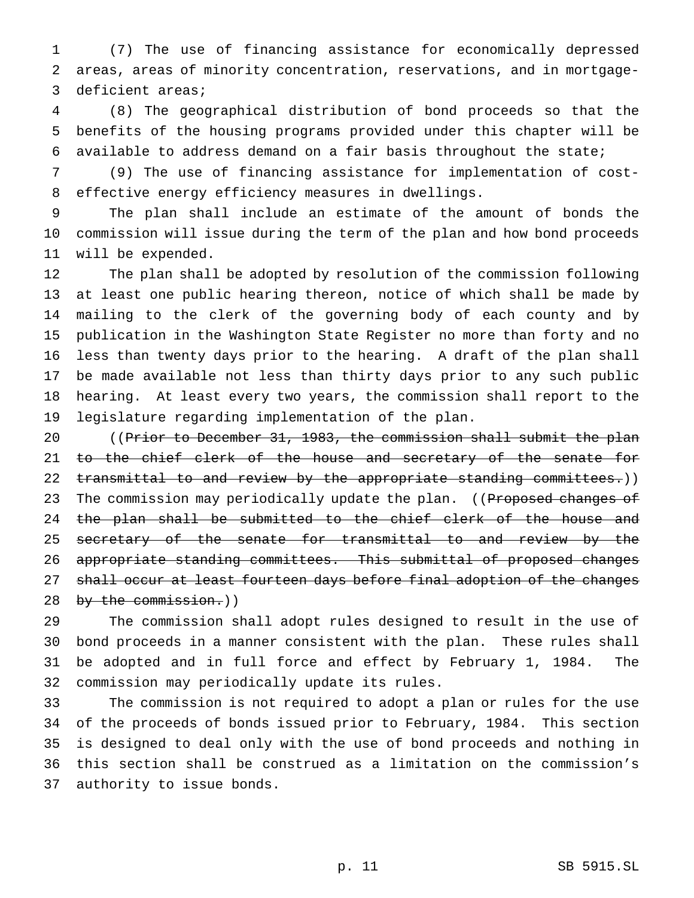(7) The use of financing assistance for economically depressed areas, areas of minority concentration, reservations, and in mortgage-deficient areas;

 (8) The geographical distribution of bond proceeds so that the benefits of the housing programs provided under this chapter will be available to address demand on a fair basis throughout the state;

 (9) The use of financing assistance for implementation of cost-effective energy efficiency measures in dwellings.

 The plan shall include an estimate of the amount of bonds the commission will issue during the term of the plan and how bond proceeds will be expended.

 The plan shall be adopted by resolution of the commission following at least one public hearing thereon, notice of which shall be made by mailing to the clerk of the governing body of each county and by publication in the Washington State Register no more than forty and no less than twenty days prior to the hearing. A draft of the plan shall be made available not less than thirty days prior to any such public hearing. At least every two years, the commission shall report to the legislature regarding implementation of the plan.

 ((Prior to December 31, 1983, the commission shall submit the plan 21 to the chief clerk of the house and secretary of the senate for 22 transmittal to and review by the appropriate standing committees.)) 23 The commission may periodically update the plan. ((Proposed changes of 24 the plan shall be submitted to the chief clerk of the house and 25 secretary of the senate for transmittal to and review by the appropriate standing committees. This submittal of proposed changes 27 shall occur at least fourteen days before final adoption of the changes 28 by the commission.))

 The commission shall adopt rules designed to result in the use of bond proceeds in a manner consistent with the plan. These rules shall be adopted and in full force and effect by February 1, 1984. The commission may periodically update its rules.

 The commission is not required to adopt a plan or rules for the use of the proceeds of bonds issued prior to February, 1984. This section is designed to deal only with the use of bond proceeds and nothing in this section shall be construed as a limitation on the commission's authority to issue bonds.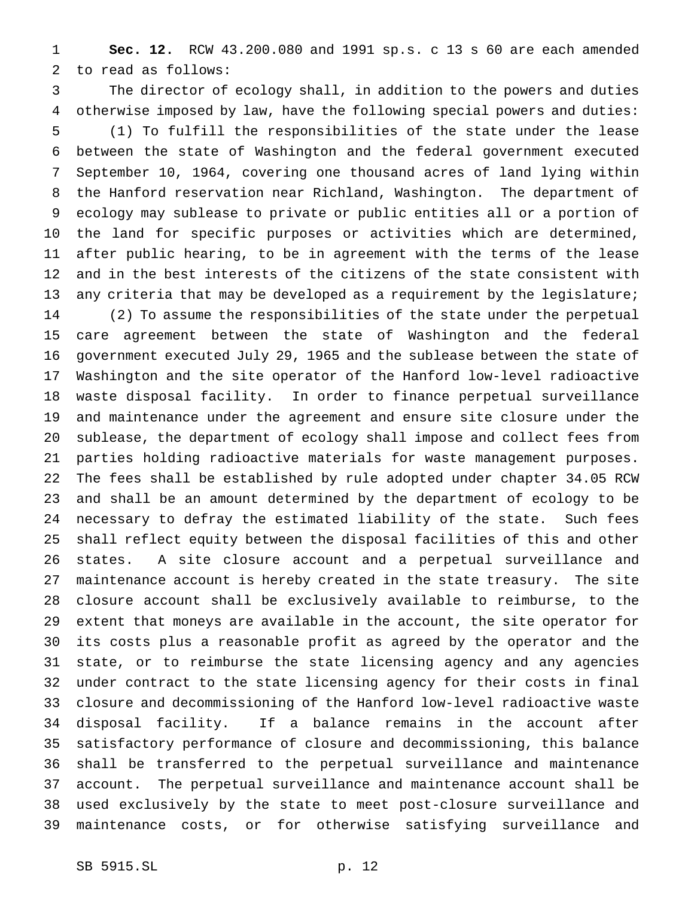**Sec. 12.** RCW 43.200.080 and 1991 sp.s. c 13 s 60 are each amended to read as follows:

 The director of ecology shall, in addition to the powers and duties otherwise imposed by law, have the following special powers and duties: (1) To fulfill the responsibilities of the state under the lease between the state of Washington and the federal government executed September 10, 1964, covering one thousand acres of land lying within the Hanford reservation near Richland, Washington. The department of ecology may sublease to private or public entities all or a portion of the land for specific purposes or activities which are determined, after public hearing, to be in agreement with the terms of the lease and in the best interests of the citizens of the state consistent with 13 any criteria that may be developed as a requirement by the legislature; (2) To assume the responsibilities of the state under the perpetual care agreement between the state of Washington and the federal government executed July 29, 1965 and the sublease between the state of Washington and the site operator of the Hanford low-level radioactive waste disposal facility. In order to finance perpetual surveillance and maintenance under the agreement and ensure site closure under the sublease, the department of ecology shall impose and collect fees from parties holding radioactive materials for waste management purposes. The fees shall be established by rule adopted under chapter 34.05 RCW and shall be an amount determined by the department of ecology to be necessary to defray the estimated liability of the state. Such fees shall reflect equity between the disposal facilities of this and other states. A site closure account and a perpetual surveillance and maintenance account is hereby created in the state treasury. The site closure account shall be exclusively available to reimburse, to the extent that moneys are available in the account, the site operator for its costs plus a reasonable profit as agreed by the operator and the state, or to reimburse the state licensing agency and any agencies under contract to the state licensing agency for their costs in final closure and decommissioning of the Hanford low-level radioactive waste disposal facility. If a balance remains in the account after satisfactory performance of closure and decommissioning, this balance shall be transferred to the perpetual surveillance and maintenance account. The perpetual surveillance and maintenance account shall be used exclusively by the state to meet post-closure surveillance and maintenance costs, or for otherwise satisfying surveillance and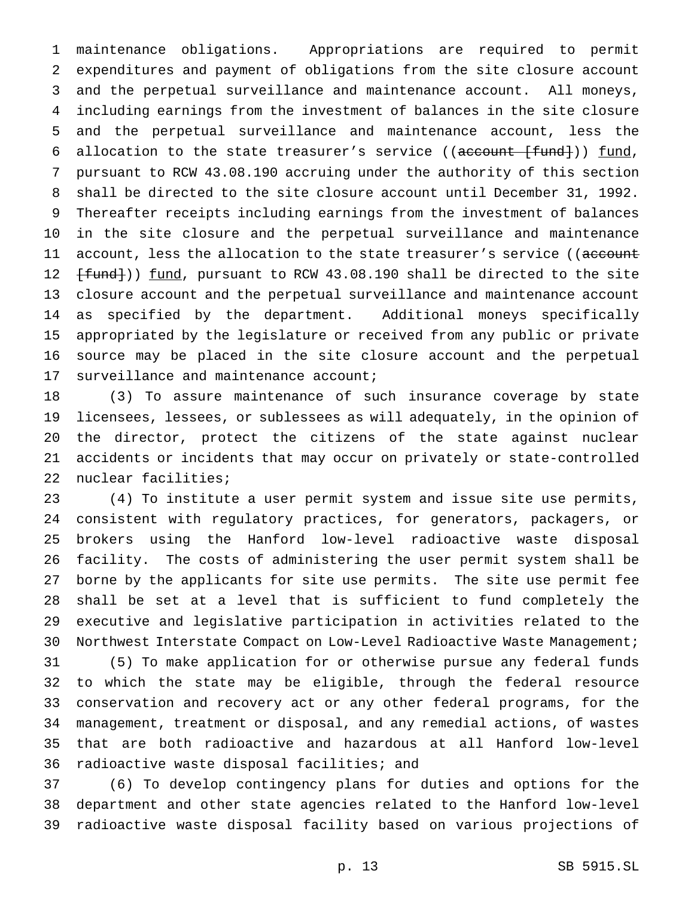maintenance obligations. Appropriations are required to permit expenditures and payment of obligations from the site closure account and the perpetual surveillance and maintenance account. All moneys, including earnings from the investment of balances in the site closure and the perpetual surveillance and maintenance account, less the 6 allocation to the state treasurer's service  $((\text{account } {[fund]}) )$  fund, pursuant to RCW 43.08.190 accruing under the authority of this section shall be directed to the site closure account until December 31, 1992. Thereafter receipts including earnings from the investment of balances in the site closure and the perpetual surveillance and maintenance 11 account, less the allocation to the state treasurer's service ((account 12 <del>[fund]</del>)) <u>fund</u>, pursuant to RCW 43.08.190 shall be directed to the site closure account and the perpetual surveillance and maintenance account as specified by the department. Additional moneys specifically appropriated by the legislature or received from any public or private source may be placed in the site closure account and the perpetual 17 surveillance and maintenance account;

 (3) To assure maintenance of such insurance coverage by state licensees, lessees, or sublessees as will adequately, in the opinion of the director, protect the citizens of the state against nuclear accidents or incidents that may occur on privately or state-controlled nuclear facilities;

 (4) To institute a user permit system and issue site use permits, consistent with regulatory practices, for generators, packagers, or brokers using the Hanford low-level radioactive waste disposal facility. The costs of administering the user permit system shall be borne by the applicants for site use permits. The site use permit fee shall be set at a level that is sufficient to fund completely the executive and legislative participation in activities related to the Northwest Interstate Compact on Low-Level Radioactive Waste Management;

 (5) To make application for or otherwise pursue any federal funds to which the state may be eligible, through the federal resource conservation and recovery act or any other federal programs, for the management, treatment or disposal, and any remedial actions, of wastes that are both radioactive and hazardous at all Hanford low-level radioactive waste disposal facilities; and

 (6) To develop contingency plans for duties and options for the department and other state agencies related to the Hanford low-level radioactive waste disposal facility based on various projections of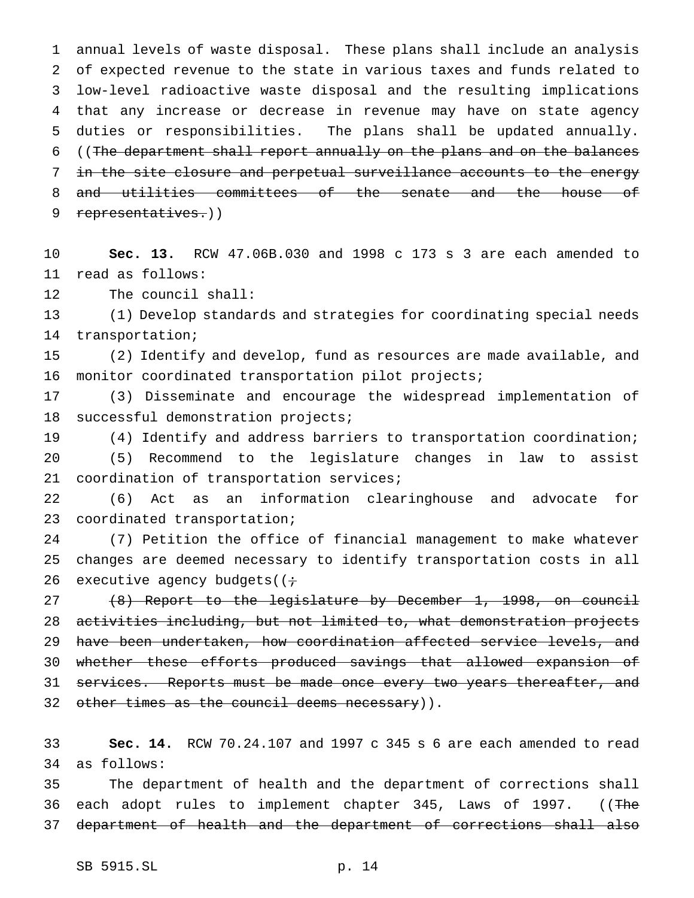annual levels of waste disposal. These plans shall include an analysis of expected revenue to the state in various taxes and funds related to low-level radioactive waste disposal and the resulting implications that any increase or decrease in revenue may have on state agency duties or responsibilities. The plans shall be updated annually. 6 ((The department shall report annually on the plans and on the balances in the site closure and perpetual surveillance accounts to the energy and utilities committees of the senate and the house of 9 representatives.))

 **Sec. 13.** RCW 47.06B.030 and 1998 c 173 s 3 are each amended to read as follows:

The council shall:

 (1) Develop standards and strategies for coordinating special needs transportation;

 (2) Identify and develop, fund as resources are made available, and monitor coordinated transportation pilot projects;

 (3) Disseminate and encourage the widespread implementation of successful demonstration projects;

 (4) Identify and address barriers to transportation coordination; (5) Recommend to the legislature changes in law to assist coordination of transportation services;

 (6) Act as an information clearinghouse and advocate for coordinated transportation;

 (7) Petition the office of financial management to make whatever changes are deemed necessary to identify transportation costs in all 26 executive agency budgets( $(i \div)$ 

 (8) Report to the legislature by December 1, 1998, on council activities including, but not limited to, what demonstration projects have been undertaken, how coordination affected service levels, and whether these efforts produced savings that allowed expansion of 31 services. Reports must be made once every two years thereafter, and 32 other times as the council deems necessary)).

 **Sec. 14.** RCW 70.24.107 and 1997 c 345 s 6 are each amended to read as follows:

 The department of health and the department of corrections shall 36 each adopt rules to implement chapter 345, Laws of 1997. ((The department of health and the department of corrections shall also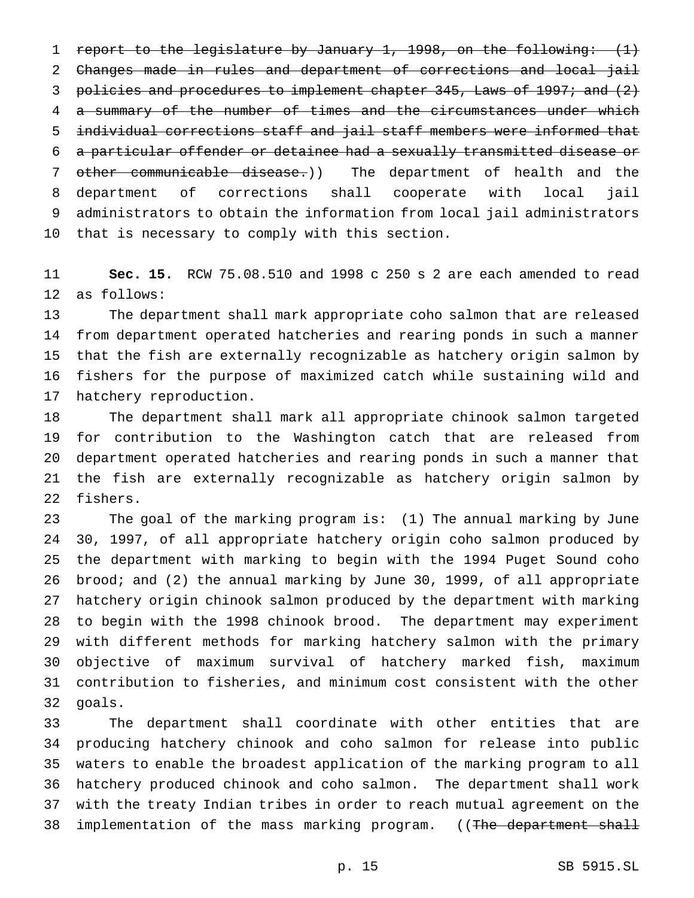report to the legislature by January 1, 1998, on the following: (1) Changes made in rules and department of corrections and local jail 3 policies and procedures to implement chapter 345, Laws of 1997; and (2) 4 a summary of the number of times and the circumstances under which individual corrections staff and jail staff members were informed that a particular offender or detainee had a sexually transmitted disease or other communicable disease.)) The department of health and the department of corrections shall cooperate with local jail administrators to obtain the information from local jail administrators that is necessary to comply with this section.

 **Sec. 15.** RCW 75.08.510 and 1998 c 250 s 2 are each amended to read as follows:

 The department shall mark appropriate coho salmon that are released from department operated hatcheries and rearing ponds in such a manner that the fish are externally recognizable as hatchery origin salmon by fishers for the purpose of maximized catch while sustaining wild and hatchery reproduction.

 The department shall mark all appropriate chinook salmon targeted for contribution to the Washington catch that are released from department operated hatcheries and rearing ponds in such a manner that the fish are externally recognizable as hatchery origin salmon by fishers.

 The goal of the marking program is: (1) The annual marking by June 30, 1997, of all appropriate hatchery origin coho salmon produced by the department with marking to begin with the 1994 Puget Sound coho brood; and (2) the annual marking by June 30, 1999, of all appropriate hatchery origin chinook salmon produced by the department with marking to begin with the 1998 chinook brood. The department may experiment with different methods for marking hatchery salmon with the primary objective of maximum survival of hatchery marked fish, maximum contribution to fisheries, and minimum cost consistent with the other goals.

 The department shall coordinate with other entities that are producing hatchery chinook and coho salmon for release into public waters to enable the broadest application of the marking program to all hatchery produced chinook and coho salmon. The department shall work with the treaty Indian tribes in order to reach mutual agreement on the 38 implementation of the mass marking program. ((The department shall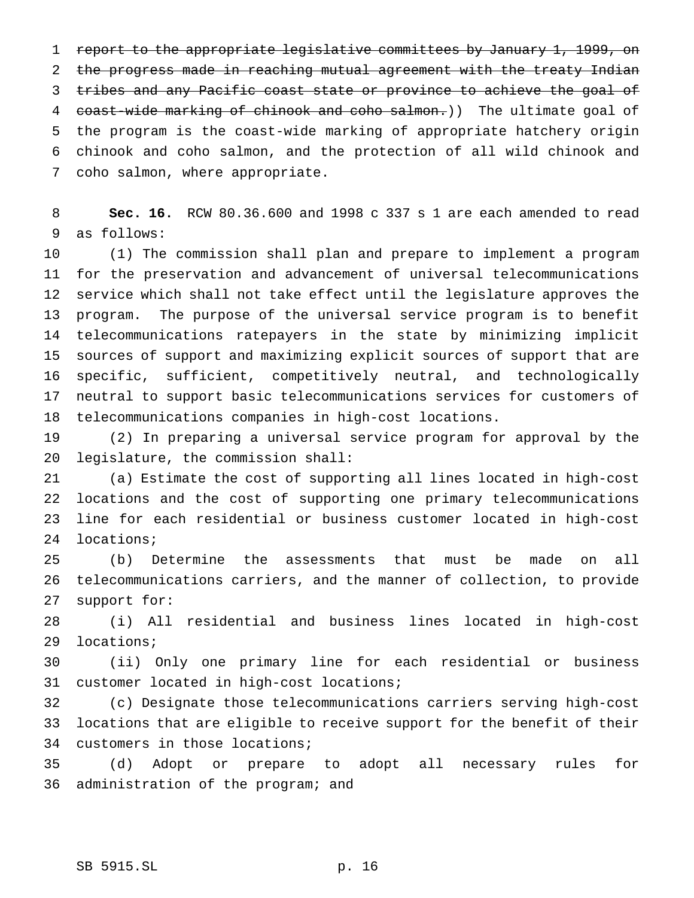report to the appropriate legislative committees by January 1, 1999, on the progress made in reaching mutual agreement with the treaty Indian 3 tribes and any Pacific coast state or province to achieve the goal of 4 coast-wide marking of chinook and coho salmon.)) The ultimate goal of the program is the coast-wide marking of appropriate hatchery origin chinook and coho salmon, and the protection of all wild chinook and coho salmon, where appropriate.

 **Sec. 16.** RCW 80.36.600 and 1998 c 337 s 1 are each amended to read as follows:

 (1) The commission shall plan and prepare to implement a program for the preservation and advancement of universal telecommunications service which shall not take effect until the legislature approves the program. The purpose of the universal service program is to benefit telecommunications ratepayers in the state by minimizing implicit sources of support and maximizing explicit sources of support that are specific, sufficient, competitively neutral, and technologically neutral to support basic telecommunications services for customers of telecommunications companies in high-cost locations.

 (2) In preparing a universal service program for approval by the legislature, the commission shall:

 (a) Estimate the cost of supporting all lines located in high-cost locations and the cost of supporting one primary telecommunications line for each residential or business customer located in high-cost locations;

 (b) Determine the assessments that must be made on all telecommunications carriers, and the manner of collection, to provide support for:

 (i) All residential and business lines located in high-cost locations;

 (ii) Only one primary line for each residential or business customer located in high-cost locations;

 (c) Designate those telecommunications carriers serving high-cost locations that are eligible to receive support for the benefit of their customers in those locations;

 (d) Adopt or prepare to adopt all necessary rules for administration of the program; and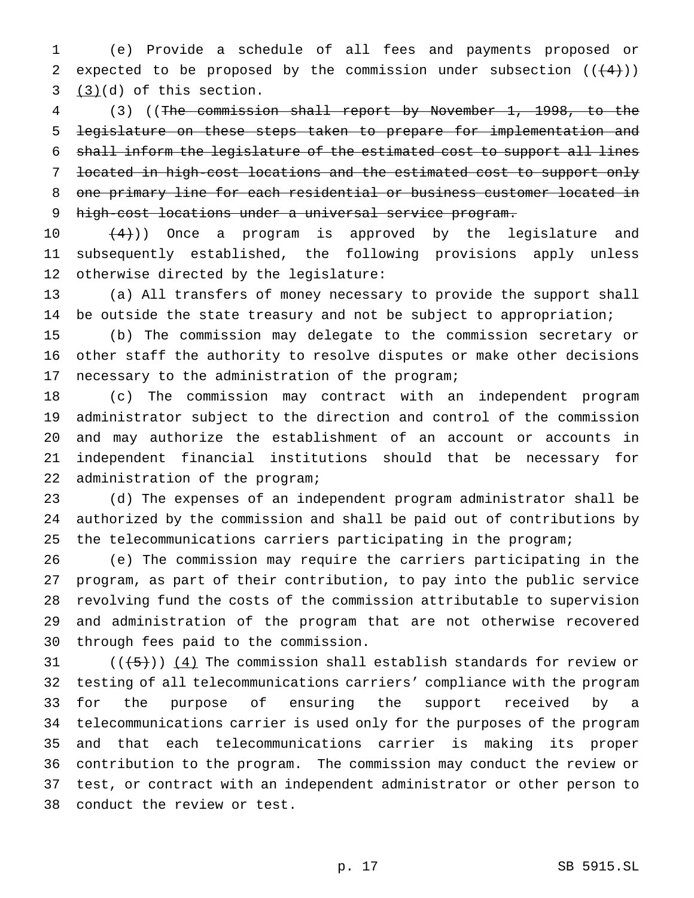(e) Provide a schedule of all fees and payments proposed or 2 expected to be proposed by the commission under subsection  $((+4))$  $3 \quad (3)(d)$  of this section.

 (3) ((The commission shall report by November 1, 1998, to the legislature on these steps taken to prepare for implementation and shall inform the legislature of the estimated cost to support all lines located in high-cost locations and the estimated cost to support only one primary line for each residential or business customer located in 9 high-cost locations under a universal service program.

 $(4)$ )) Once a program is approved by the legislature and subsequently established, the following provisions apply unless otherwise directed by the legislature:

 (a) All transfers of money necessary to provide the support shall be outside the state treasury and not be subject to appropriation;

 (b) The commission may delegate to the commission secretary or other staff the authority to resolve disputes or make other decisions necessary to the administration of the program;

 (c) The commission may contract with an independent program administrator subject to the direction and control of the commission and may authorize the establishment of an account or accounts in independent financial institutions should that be necessary for administration of the program;

 (d) The expenses of an independent program administrator shall be authorized by the commission and shall be paid out of contributions by the telecommunications carriers participating in the program;

 (e) The commission may require the carriers participating in the program, as part of their contribution, to pay into the public service revolving fund the costs of the commission attributable to supervision and administration of the program that are not otherwise recovered through fees paid to the commission.

 $((\frac{1}{5}))(4)$  The commission shall establish standards for review or testing of all telecommunications carriers' compliance with the program for the purpose of ensuring the support received by a telecommunications carrier is used only for the purposes of the program and that each telecommunications carrier is making its proper contribution to the program. The commission may conduct the review or test, or contract with an independent administrator or other person to conduct the review or test.